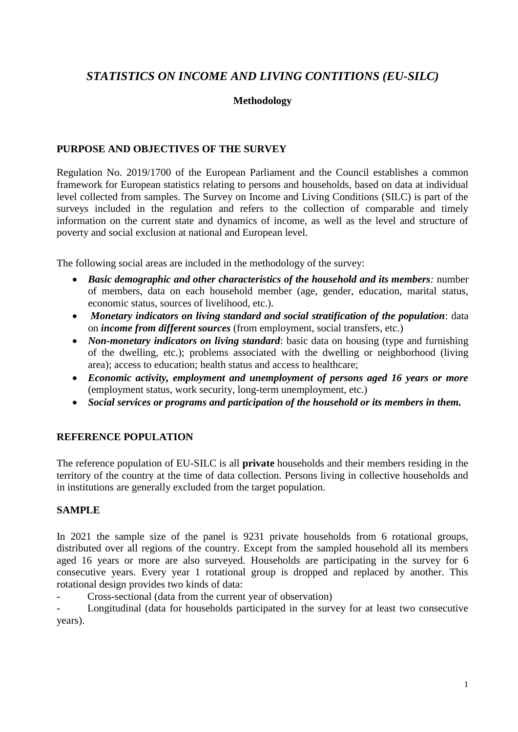# *STATISTICS ON INCOME AND LIVING CONTITIONS (EU-SILC)*

# **Methodology**

# **PURPOSE AND OBJECTIVES OF THE SURVEY**

Regulation No. 2019/1700 of the European Parliament and the Council establishes a common framework for European statistics relating to persons and households, based on data at individual level collected from samples. The Survey on Income and Living Conditions (SILC) is part of the surveys included in the regulation and refers to the collection of comparable and timely information on the current state and dynamics of income, as well as the level and structure of poverty and social exclusion at national and European level.

The following social areas are included in the methodology of the survey:

- *Basic demographic and other characteristics of the household and its members:* number of members, data on each household member (age, gender, education, marital status, economic status, sources of livelihood, etc.).
- *Monetary indicators on living standard and social stratification of the population*: data on *income from different sources* (from employment, social transfers, etc.)
- *Non-monetary indicators on living standard*: basic data on housing (type and furnishing of the dwelling, etc.); problems associated with the dwelling or neighborhood (living area); access to education; health status and access to healthcare;
- *Economic activity, employment and unemployment of persons aged 16 years or more*  (employment status, work security, long-term unemployment, etc.)
- *Social services or programs and participation of the household or its members in them.*

# **REFERENCE POPULATION**

The reference population of EU-SILC is all **private** households and their members residing in the territory of the country at the time of data collection. Persons living in collective households and in institutions are generally excluded from the target population.

# **SAMPLE**

In 2021 the sample size of the panel is 9231 private households from 6 rotational groups, distributed over all regions of the country. Except from the sampled household all its members aged 16 years or more are also surveyed. Households are participating in the survey for 6 consecutive years. Every year 1 rotational group is dropped and replaced by another. This rotational design provides two kinds of data:

- Cross-sectional (data from the current year of observation)

- Longitudinal (data for households participated in the survey for at least two consecutive years).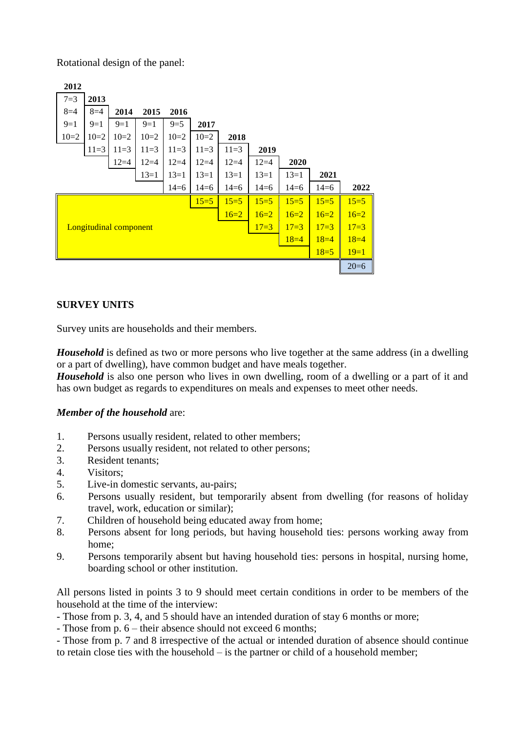Rotational design of the panel:

| 2012                          |        |        |        |        |        |        |          |        |        |        |
|-------------------------------|--------|--------|--------|--------|--------|--------|----------|--------|--------|--------|
| $7 = 3$                       | 2013   |        |        |        |        |        |          |        |        |        |
| $8=4$                         | $8=4$  | 2014   | 2015   | 2016   |        |        |          |        |        |        |
| $9=1$                         | $9=1$  | $9=1$  | $9=1$  | $9=5$  | 2017   |        |          |        |        |        |
| $10=2$                        | $10=2$ | $10=2$ | $10=2$ | $10=2$ | $10=2$ | 2018   |          |        |        |        |
|                               | $11=3$ | $11=3$ | $11=3$ | $11=3$ | $11=3$ | $11=3$ | 2019     |        |        |        |
|                               |        | $12=4$ | $12=4$ | $12=4$ | $12=4$ | $12=4$ | $12 = 4$ | 2020   |        |        |
|                               |        |        | $13=1$ | $13=1$ | $13=1$ | $13=1$ | $13=1$   | $13=1$ | 2021   |        |
|                               |        |        |        | $14=6$ | $14=6$ | $14=6$ | $14=6$   | $14=6$ | $14=6$ | 2022   |
|                               |        |        |        |        | $15=5$ | $15=5$ | $15=5$   | $15=5$ | $15=5$ | $15=5$ |
| $16=2$<br>$16=2$              |        |        |        |        |        |        |          | $16=2$ | $16=2$ | $16=2$ |
| <b>Longitudinal component</b> |        |        |        |        |        |        | $17=3$   | $17=3$ | $17=3$ | $17=3$ |
| $18=4$<br>$18=4$              |        |        |        |        |        |        |          |        | $18=4$ |        |
|                               |        |        |        |        |        |        |          |        | $18=5$ | $19=1$ |
|                               |        |        |        |        |        |        |          |        |        | $20=6$ |

### **SURVEY UNITS**

Survey units are households and their members.

*Household* is defined as two or more persons who live together at the same address (in a dwelling or a part of dwelling), have common budget and have meals together.

*Household* is also one person who lives in own dwelling, room of a dwelling or a part of it and has own budget as regards to expenditures on meals and expenses to meet other needs.

### *Member of the household* are:

- 1. Persons usually resident, related to other members;
- 2. Persons usually resident, not related to other persons;
- 3. Resident tenants;
- 4. Visitors;
- 5. Live-in domestic servants, au-pairs;
- 6. Persons usually resident, but temporarily absent from dwelling (for reasons of holiday travel, work, education or similar);
- 7. Children of household being educated away from home;
- 8. Persons absent for long periods, but having household ties: persons working away from home;
- 9. Persons temporarily absent but having household ties: persons in hospital, nursing home, boarding school or other institution.

All persons listed in points 3 to 9 should meet certain conditions in order to be members of the household at the time of the interview:

- Those from p. 3, 4, and 5 should have an intended duration of stay 6 months or more;
- Those from p. 6 their absence should not exceed 6 months;

- Those from p. 7 and 8 irrespective of the actual or intended duration of absence should continue to retain close ties with the household – is the partner or child of a household member;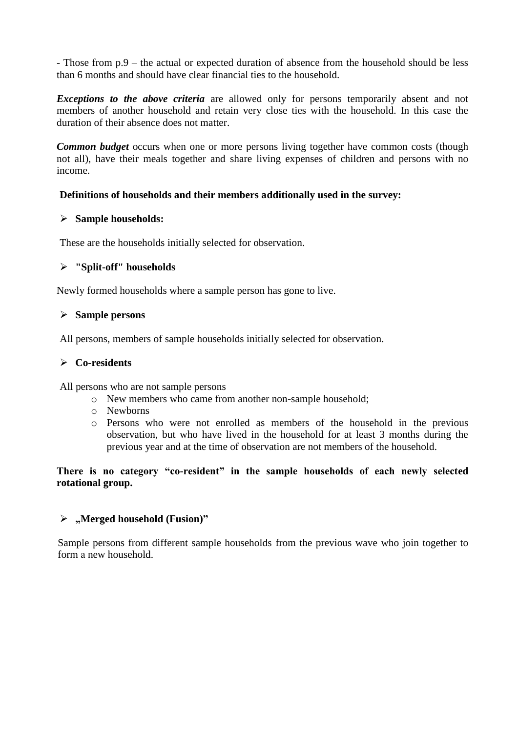- Those from p.9 – the actual or expected duration of absence from the household should be less than 6 months and should have clear financial ties to the household.

*Exceptions to the above criteria* are allowed only for persons temporarily absent and not members of another household and retain very close ties with the household. In this case the duration of their absence does not matter.

*Common budget* occurs when one or more persons living together have common costs (though not all), have their meals together and share living expenses of children and persons with no income.

### **Definitions of households and their members additionally used in the survey:**

### **Sample households:**

These are the households initially selected for observation.

# **"Split-off" households**

Newly formed households where a sample person has gone to live.

### **Sample persons**

All persons, members of sample households initially selected for observation.

### **Co-residents**

All persons who are not sample persons

- o New members who came from another non-sample household;
- o Newborns
- o Persons who were not enrolled as members of the household in the previous observation, but who have lived in the household for at least 3 months during the previous year and at the time of observation are not members of the household.

**There is no category "co-resident" in the sample households of each newly selected rotational group.**

# **"Merged household (Fusion)"**

Sample persons from different sample households from the previous wave who join together to form а new household.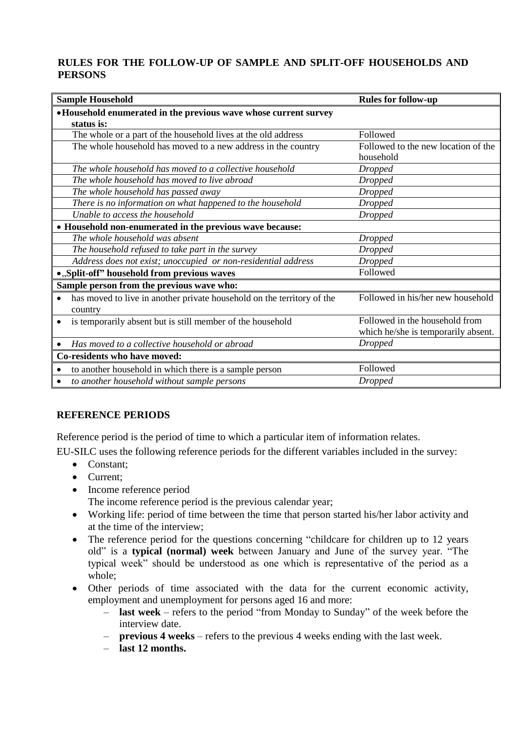# **RULES FOR THE FOLLOW-UP OF SAMPLE AND SPLIT-OFF HOUSEHOLDS AND PERSONS**

| <b>Sample Household</b>                                                             | <b>Rules for follow-up</b>          |  |  |  |  |  |  |
|-------------------------------------------------------------------------------------|-------------------------------------|--|--|--|--|--|--|
| • Household enumerated in the previous wave whose current survey                    |                                     |  |  |  |  |  |  |
| status is:                                                                          |                                     |  |  |  |  |  |  |
| The whole or a part of the household lives at the old address                       | Followed                            |  |  |  |  |  |  |
| The whole household has moved to a new address in the country                       | Followed to the new location of the |  |  |  |  |  |  |
|                                                                                     | household                           |  |  |  |  |  |  |
| The whole household has moved to a collective household                             | <b>Dropped</b>                      |  |  |  |  |  |  |
| The whole household has moved to live abroad                                        | <b>Dropped</b>                      |  |  |  |  |  |  |
| The whole household has passed away                                                 | <b>Dropped</b>                      |  |  |  |  |  |  |
| There is no information on what happened to the household                           | <b>Dropped</b>                      |  |  |  |  |  |  |
| Unable to access the household                                                      | <b>Dropped</b>                      |  |  |  |  |  |  |
| • Household non-enumerated in the previous wave because:                            |                                     |  |  |  |  |  |  |
| The whole household was absent                                                      | <b>Dropped</b>                      |  |  |  |  |  |  |
| The household refused to take part in the survey                                    | <b>Dropped</b>                      |  |  |  |  |  |  |
| Address does not exist; unoccupied or non-residential address                       | <b>Dropped</b>                      |  |  |  |  |  |  |
| .,Split-off" household from previous waves                                          | Followed                            |  |  |  |  |  |  |
| Sample person from the previous wave who:                                           |                                     |  |  |  |  |  |  |
| has moved to live in another private household on the territory of the<br>$\bullet$ | Followed in his/her new household   |  |  |  |  |  |  |
| country                                                                             |                                     |  |  |  |  |  |  |
| is temporarily absent but is still member of the household<br>$\bullet$             | Followed in the household from      |  |  |  |  |  |  |
|                                                                                     | which he/she is temporarily absent. |  |  |  |  |  |  |
| Has moved to a collective household or abroad                                       | <b>Dropped</b>                      |  |  |  |  |  |  |
| Co-residents who have moved:                                                        |                                     |  |  |  |  |  |  |
| to another household in which there is a sample person                              | Followed                            |  |  |  |  |  |  |
| to another household without sample persons                                         | <b>Dropped</b>                      |  |  |  |  |  |  |

# **REFERENCE PERIODS**

Reference period is the period of time to which a particular item of information relates.

EU-SILC uses the following reference periods for the different variables included in the survey:

- Constant:
- Current:
- Income reference period
	- The income reference period is the previous calendar year;
- Working life: period of time between the time that person started his/her labor activity and at the time of the interview;
- The reference period for the questions concerning "childcare for children up to 12 years old" is a **typical (normal) week** between January and June of the survey year. "The typical week" should be understood as one which is representative of the period as a whole;
- Other periods of time associated with the data for the current economic activity, employment and unemployment for persons aged 16 and more:
	- **last week** refers to the period "from Monday to Sunday" of the week before the interview date.
	- **previous 4 weeks** refers to the previous 4 weeks ending with the last week.
	- **last 12 months.**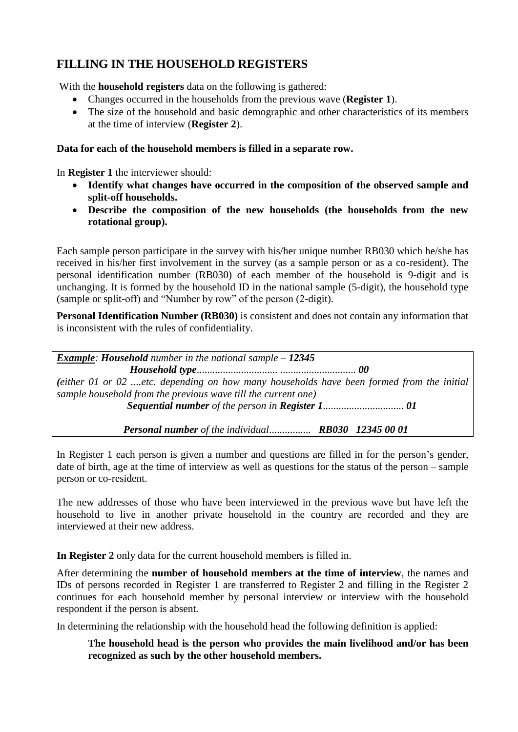# **FILLING IN THE HOUSEHOLD REGISTERS**

With the **household registers** data on the following is gathered:

- Changes occurred in the households from the previous wave (**Register 1**).
- The size of the household and basic demographic and other characteristics of its members at the time of interview (**Register 2**).

# **Data for each of the household members is filled in a separate row.**

In **Register 1** the interviewer should:

- **Identify what changes have occurred in the composition of the observed sample and split-off households.**
- **Describe the composition of the new households (the households from the new rotational group).**

Each sample person participate in the survey with his/her unique number RB030 which he/she has received in his/her first involvement in the survey (as a sample person or as a co-resident). The personal identification number (RB030) of each member of the household is 9-digit and is unchanging. It is formed by the household ID in the national sample (5-digit), the household type (sample or split-off) and "Number by row" of the person (2-digit).

**Personal Identification Number (RB030)** is consistent and does not contain any information that is inconsistent with the rules of confidentiality.

*Example: Household number in the national sample – 12345 Household type*............................... ............................. *00 (either 01 or 02 ....etc. depending on how many households have been formed from the initial sample household from the previous wave till the current one) Sequential number of the person in Register 1*............................... *01*

 *Personal number of the individual*................ *RB030 12345 00 01*

In Register 1 each person is given a number and questions are filled in for the person's gender, date of birth, age at the time of interview as well as questions for the status of the person – sample person or co-resident.

The new addresses of those who have been interviewed in the previous wave but have left the household to live in another private household in the country are recorded and they are interviewed at their new address.

**In Register 2** only data for the current household members is filled in.

After determining the **number of household members at the time of interview**, the names and IDs of persons recorded in Register 1 are transferred to Register 2 and filling in the Register 2 continues for each household member by personal interview or interview with the household respondent if the person is absent.

In determining the relationship with the household head the following definition is applied:

# **The household head is the person who provides the main livelihood and/or has been recognized as such by the other household members.**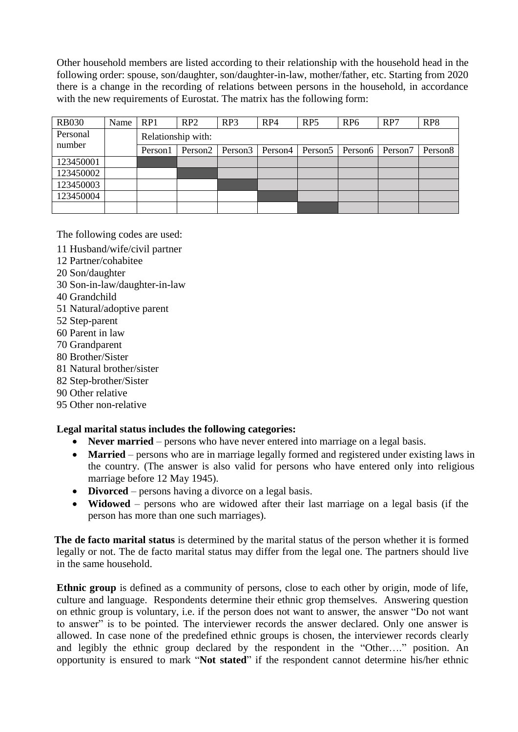Other household members are listed according to their relationship with the household head in the following order: spouse, son/daughter, son/daughter-in-law, mother/father, etc. Starting from 2020 there is a change in the recording of relations between persons in the household, in accordance with the new requirements of Eurostat. The matrix has the following form:

| <b>RB030</b>       | Name | RP1                | RP2     | RP3                 | RP4     | RP <sub>5</sub>     | RP <sub>6</sub>   | RP7 | RP8                 |  |
|--------------------|------|--------------------|---------|---------------------|---------|---------------------|-------------------|-----|---------------------|--|
| Personal<br>number |      | Relationship with: |         |                     |         |                     |                   |     |                     |  |
|                    |      | Person1            | Person2 | Person <sub>3</sub> | Person4 | Person <sub>5</sub> | Person6   Person7 |     | Person <sub>8</sub> |  |
| 123450001          |      |                    |         |                     |         |                     |                   |     |                     |  |
| 123450002          |      |                    |         |                     |         |                     |                   |     |                     |  |
| 123450003          |      |                    |         |                     |         |                     |                   |     |                     |  |
| 123450004          |      |                    |         |                     |         |                     |                   |     |                     |  |
|                    |      |                    |         |                     |         |                     |                   |     |                     |  |

The following codes are used:

- 11 Husband/wife/civil partner
- 12 Partner/cohabitee
- 20 Son/daughter
- 30 Son-in-law/daughter-in-law
- 40 Grandchild
- 51 Natural/adoptive parent
- 52 Step-parent
- 60 Parent in law
- 70 Grandparent
- 80 Brother/Sister
- 81 Natural brother/sister
- 82 Step-brother/Sister
- 90 Other relative
- 95 Other non-relative

# **Legal marital status includes the following categories:**

- **Never married** persons who have never entered into marriage on a legal basis.
- **Married** persons who are in marriage legally formed and registered under existing laws in the country. (The answer is also valid for persons who have entered only into religious marriage before 12 May 1945).
- **Divorced** persons having a divorce on a legal basis.
- **Widowed** persons who are widowed after their last marriage on a legal basis (if the person has more than one such marriages).

**The de facto marital status** is determined by the marital status of the person whether it is formed legally or not. The de facto marital status may differ from the legal one. The partners should live in the same household.

**Ethnic group** is defined as a community of persons, close to each other by origin, mode of life, culture and language. Respondents determine their ethnic grop themselves. Answering question on ethnic group is voluntary, i.e. if the person does not want to answer, the answer "Do not want to answer" is to be pointed. The interviewer records the answer declared. Only one answer is allowed. In case none of the predefined ethnic groups is chosen, the interviewer records clearly and legibly the ethnic group declared by the respondent in the "Other…." position. An opportunity is ensured to mark "**Not stated**" if the respondent cannot determine his/her ethnic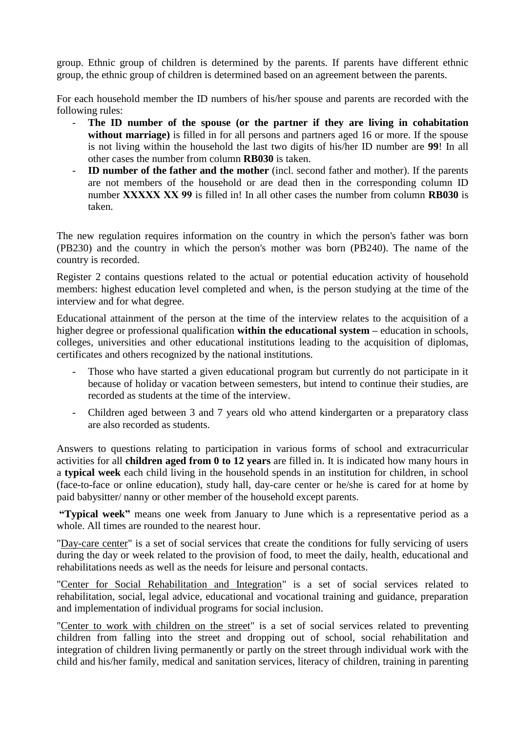group. Ethnic group of children is determined by the parents. If parents have different ethnic group, the ethnic group of children is determined based on an agreement between the parents.

For each household member the ID numbers of his/her spouse and parents are recorded with the following rules:

- **The ID number of the spouse (or the partner if they are living in cohabitation without marriage)** is filled in for all persons and partners aged 16 or more. If the spouse is not living within the household the last two digits of his/her ID number are **99**! In all other cases the number from column **RB030** is taken.
- **ID number of the father and the mother** (incl. second father and mother). If the parents are not members of the household or are dead then in the corresponding column ID number **ХХХХХ ХХ 99** is filled in! In all other cases the number from column **RB030** is taken.

The new regulation requires information on the country in which the person's father was born (PB230) and the country in which the person's mother was born (PB240). The name of the country is recorded.

Register 2 contains questions related to the actual or potential education activity of household members: highest education level completed and when, is the person studying at the time of the interview and for what degree.

Educational attainment of the person at the time of the interview relates to the acquisition of a higher degree or professional qualification **within the educational system –** education in schools, colleges, universities and other educational institutions leading to the acquisition of diplomas, certificates and others recognized by the national institutions.

- Those who have started a given educational program but currently do not participate in it because of holiday or vacation between semesters, but intend to continue their studies, are recorded as students at the time of the interview.
- Children aged between 3 and 7 years old who attend kindergarten or a preparatory class are also recorded as students.

Answers to questions relating to participation in various forms of school and extracurricular activities for all **children aged from 0 to 12 years** are filled in. It is indicated how many hours in a **typical week** each child living in the household spends in an institution for children, in school (face-to-face or online education), study hall, day-care center or he/she is cared for at home by paid babysitter/ nanny or other member of the household except parents.

**"Typical week"** means one week from January to June which is a representative period as a whole. All times are rounded to the nearest hour.

"Day-care center" is a set of social services that create the conditions for fully servicing of users during the day or week related to the provision of food, to meet the daily, health, educational and rehabilitations needs as well as the needs for leisure and personal contacts.

"Center for Social Rehabilitation and Integration" is a set of social services related to rehabilitation, social, legal advice, educational and vocational training and guidance, preparation and implementation of individual programs for social inclusion.

"Center to work with children on the street" is a set of social services related to preventing children from falling into the street and dropping out of school, social rehabilitation and integration of children living permanently or partly on the street through individual work with the child and his/her family, medical and sanitation services, literacy of children, training in parenting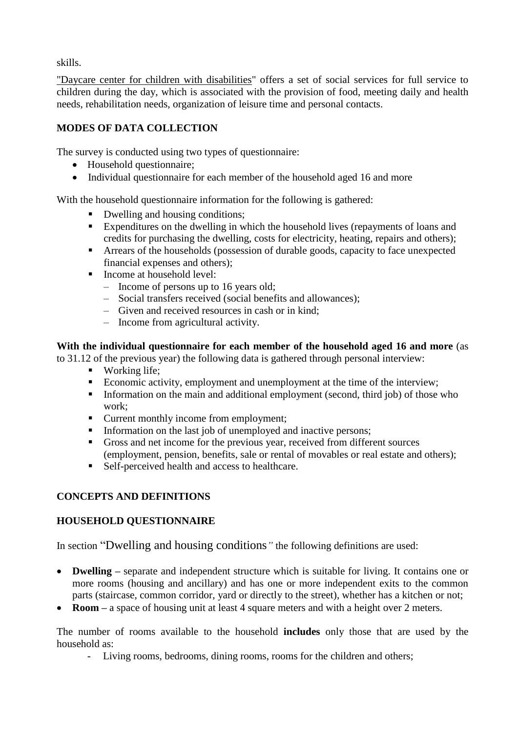skills.

"Daycare center for children with disabilities" offers a set of social services for full service to children during the day, which is associated with the provision of food, meeting daily and health needs, rehabilitation needs, organization of leisure time and personal contacts.

# **MODES OF DATA COLLECTION**

The survey is conducted using two types of questionnaire:

- Household questionnaire;
- Individual questionnaire for each member of the household aged 16 and more

With the household questionnaire information for the following is gathered:

- Dwelling and housing conditions;
- Expenditures on the dwelling in which the household lives (repayments of loans and credits for purchasing the dwelling, costs for electricity, heating, repairs and others);
- Arrears of the households (possession of durable goods, capacity to face unexpected financial expenses and others);
- Income at household level:
	- Income of persons up to 16 years old;
	- Social transfers received (social benefits and allowances);
	- Given and received resources in cash or in kind;
	- Income from agricultural activity.

**With the individual questionnaire for each member of the household aged 16 and more** (as

to 31.12 of the previous year) the following data is gathered through personal interview:

- **Working life;**
- Economic activity, employment and unemployment at the time of the interview;
- Information on the main and additional employment (second, third job) of those who work;
- **•** Current monthly income from employment;
- Information on the last job of unemployed and inactive persons;
- Gross and net income for the previous year, received from different sources (employment, pension, benefits, sale or rental of movables or real estate and others);
- Self-perceived health and access to healthcare.

# **CONCEPTS AND DEFINITIONS**

# **HOUSEHOLD QUESTIONNAIRE**

In section "Dwelling and housing conditions*"* the following definitions are used:

- **Dwelling** separate and independent structure which is suitable for living. It contains one or more rooms (housing and ancillary) and has one or more independent exits to the common parts (staircase, common corridor, yard or directly to the street), whether has a kitchen or not;
- **Room** a space of housing unit at least 4 square meters and with a height over 2 meters.

The number of rooms available to the household **includes** only those that are used by the household as:

- Living rooms, bedrooms, dining rooms, rooms for the children and others;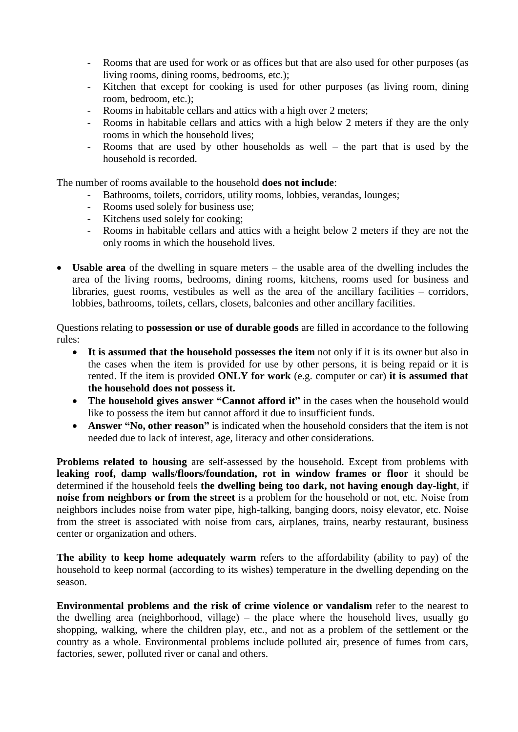- Rooms that are used for work or as offices but that are also used for other purposes (as living rooms, dining rooms, bedrooms, etc.);
- Kitchen that except for cooking is used for other purposes (as living room, dining room, bedroom, etc.);
- Rooms in habitable cellars and attics with a high over 2 meters;
- Rooms in habitable cellars and attics with a high below 2 meters if they are the only rooms in which the household lives;
- Rooms that are used by other households as well the part that is used by the household is recorded.

The number of rooms available to the household **does not include**:

- Bathrooms, toilets, corridors, utility rooms, lobbies, verandas, lounges;
- Rooms used solely for business use;
- Kitchens used solely for cooking;
- Rooms in habitable cellars and attics with a height below 2 meters if they are not the only rooms in which the household lives.
- **Usable area** of the dwelling in square meters the usable area of the dwelling includes the area of the living rooms, bedrooms, dining rooms, kitchens, rooms used for business and libraries, guest rooms, vestibules as well as the area of the ancillary facilities – corridors, lobbies, bathrooms, toilets, cellars, closets, balconies and other ancillary facilities.

Questions relating to **possession or use of durable goods** are filled in accordance to the following rules:

- **It is assumed that the household possesses the item** not only if it is its owner but also in the cases when the item is provided for use by other persons, it is being repaid or it is rented. If the item is provided **ONLY for work** (e.g. computer or car) **it is assumed that the household does not possess it.**
- **The household gives answer "Cannot afford it"** in the cases when the household would like to possess the item but cannot afford it due to insufficient funds.
- **Answer "No, other reason"** is indicated when the household considers that the item is not needed due to lack of interest, age, literacy and other considerations.

**Problems related to housing** are self-assessed by the household. Except from problems with leaking roof, damp walls/floors/foundation, rot in window frames or floor it should be determined if the household feels **the dwelling being too dark, not having enough day-light**, if **noise from neighbors or from the street** is a problem for the household or not, etc. Noise from neighbors includes noise from water pipe, high-talking, banging doors, noisy elevator, etc. Noise from the street is associated with noise from cars, airplanes, trains, nearby restaurant, business center or organization and others.

**The ability to keep home adequately warm** refers to the affordability (ability to pay) of the household to keep normal (according to its wishes) temperature in the dwelling depending on the season.

**Environmental problems and the risk of crime violence or vandalism** refer to the nearest to the dwelling area (neighborhood, village) – the place where the household lives, usually go shopping, walking, where the children play, etc., and not as a problem of the settlement or the country as a whole. Environmental problems include polluted air, presence of fumes from cars, factories, sewer, polluted river or canal and others.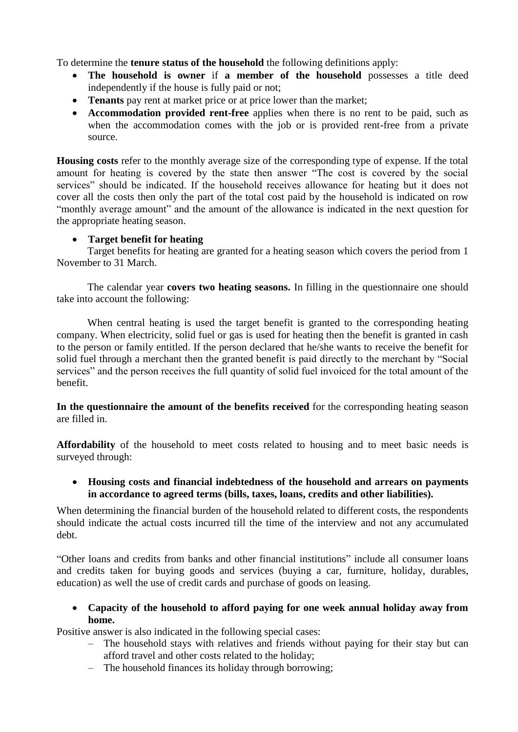To determine the **tenure status of the household** the following definitions apply:

- **The household is owner** if **a member of the household** possesses a title deed independently if the house is fully paid or not;
- **Tenants** pay rent at market price or at price lower than the market;
- **Accommodation provided rent-free** applies when there is no rent to be paid, such as when the accommodation comes with the job or is provided rent-free from a private source.

**Housing costs** refer to the monthly average size of the corresponding type of expense. If the total amount for heating is covered by the state then answer "The cost is covered by the social services" should be indicated. If the household receives allowance for heating but it does not cover all the costs then only the part of the total cost paid by the household is indicated on row "monthly average amount" and the amount of the allowance is indicated in the next question for the appropriate heating season.

# **Target benefit for heating**

Target benefits for heating are granted for a heating season which covers the period from 1 November to 31 March.

The calendar year **covers two heating seasons.** In filling in the questionnaire one should take into account the following:

When central heating is used the target benefit is granted to the corresponding heating company. When electricity, solid fuel or gas is used for heating then the benefit is granted in cash to the person or family entitled. If the person declared that he/she wants to receive the benefit for solid fuel through a merchant then the granted benefit is paid directly to the merchant by "Social services" and the person receives the full quantity of solid fuel invoiced for the total amount of the benefit.

**In the questionnaire the amount of the benefits received** for the corresponding heating season are filled in.

**Affordability** of the household to meet costs related to housing and to meet basic needs is surveyed through:

 **Housing costs and financial indebtedness of the household and arrears on payments in accordance to agreed terms (bills, taxes, loans, credits and other liabilities).** 

When determining the financial burden of the household related to different costs, the respondents should indicate the actual costs incurred till the time of the interview and not any accumulated debt.

"Other loans and credits from banks and other financial institutions" include all consumer loans and credits taken for buying goods and services (buying a car, furniture, holiday, durables, education) as well the use of credit cards and purchase of goods on leasing.

 **Capacity of the household to afford paying for one week annual holiday away from home.** 

Positive answer is also indicated in the following special cases:

- The household stays with relatives and friends without paying for their stay but can afford travel and other costs related to the holiday;
- The household finances its holiday through borrowing;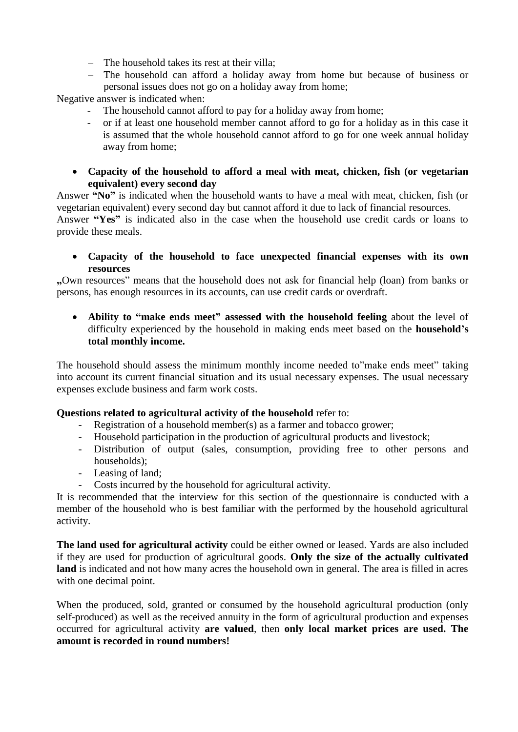- The household takes its rest at their villa;
- The household can afford a holiday away from home but because of business or personal issues does not go on a holiday away from home;

Negative answer is indicated when:

- The household cannot afford to pay for a holiday away from home;
- or if at least one household member cannot afford to go for a holiday as in this case it is assumed that the whole household cannot afford to go for one week annual holiday away from home;
- **Capacity of the household to afford a meal with meat, chicken, fish (or vegetarian equivalent) every second day**

Answer **"No"** is indicated when the household wants to have a meal with meat, chicken, fish (or vegetarian equivalent) every second day but cannot afford it due to lack of financial resources.

Answer **"Yes"** is indicated also in the case when the household use credit cards or loans to provide these meals.

 **Capacity of the household to face unexpected financial expenses with its own resources**

**"**Own resources" means that the household does not ask for financial help (loan) from banks or persons, has enough resources in its accounts, can use credit cards or overdraft.

 **Ability to "make ends meet" assessed with the household feeling** about the level of difficulty experienced by the household in making ends meet based on the **household's total monthly income.**

The household should assess the minimum monthly income needed to"make ends meet" taking into account its current financial situation and its usual necessary expenses. The usual necessary expenses exclude business and farm work costs.

# **Questions related to agricultural activity of the household** refer to:

- Registration of a household member(s) as a farmer and tobacco grower;
- Household participation in the production of agricultural products and livestock;
- Distribution of output (sales, consumption, providing free to other persons and households);
- Leasing of land;
- Costs incurred by the household for agricultural activity.

It is recommended that the interview for this section of the questionnaire is conducted with a member of the household who is best familiar with the performed by the household agricultural activity.

**The land used for agricultural activity** could be either owned or leased. Yards are also included if they are used for production of agricultural goods. **Only the size of the actually cultivated land** is indicated and not how many acres the household own in general. The area is filled in acres with one decimal point.

When the produced, sold, granted or consumed by the household agricultural production (only self-produced) as well as the received annuity in the form of agricultural production and expenses occurred for agricultural activity **are valued**, then **only local market prices are used. The amount is recorded in round numbers!**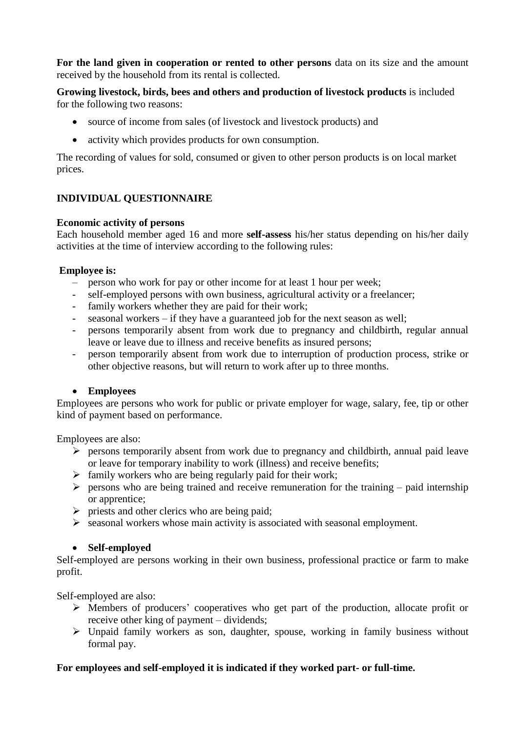**For the land given in cooperation or rented to other persons** data on its size and the amount received by the household from its rental is collected.

**Growing livestock, birds, bees and others and production of livestock products** is included for the following two reasons:

- source of income from sales (of livestock and livestock products) and
- activity which provides products for own consumption.

The recording of values for sold, consumed or given to other person products is on local market prices.

# **INDIVIDUAL QUESTIONNAIRE**

### **Economic activity of persons**

Each household member aged 16 and more **self-assess** his/her status depending on his/her daily activities at the time of interview according to the following rules:

### **Employee is:**

- person who work for pay or other income for at least 1 hour per week;
- self-employed persons with own business, agricultural activity or a freelancer;
- family workers whether they are paid for their work;
- seasonal workers if they have a guaranteed job for the next season as well;
- persons temporarily absent from work due to pregnancy and childbirth, regular annual leave or leave due to illness and receive benefits as insured persons;
- person temporarily absent from work due to interruption of production process, strike or other objective reasons, but will return to work after up to three months.

# **Employees**

Employees are persons who work for public or private employer for wage, salary, fee, tip or other kind of payment based on performance.

Employees are also:

- $\triangleright$  persons temporarily absent from work due to pregnancy and childbirth, annual paid leave or leave for temporary inability to work (illness) and receive benefits;
- $\triangleright$  family workers who are being regularly paid for their work;
- $\triangleright$  persons who are being trained and receive remuneration for the training paid internship or apprentice;
- $\triangleright$  priests and other clerics who are being paid:
- $\triangleright$  seasonal workers whose main activity is associated with seasonal employment.

### **Self-employed**

Self-employed are persons working in their own business, professional practice or farm to make profit.

Self-employed are also:

- Members of producers' cooperatives who get part of the production, allocate profit or receive other king of payment – dividends;
- Unpaid family workers as son, daughter, spouse, working in family business without formal pay.

# **For employees and self-employed it is indicated if they worked part- or full-time.**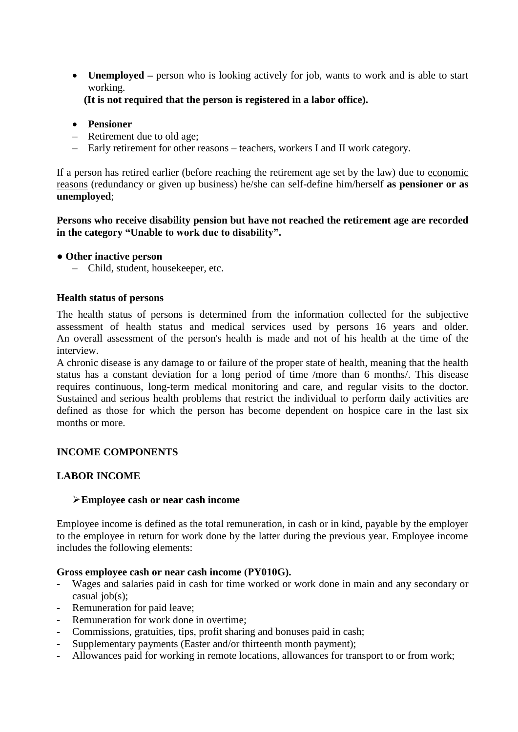• **Unemployed** – person who is looking actively for job, wants to work and is able to start working.

**(It is not required that the person is registered in a labor office).** 

- **Pensioner**
- Retirement due to old age;
- Early retirement for other reasons teachers, workers I and II work category.

If a person has retired earlier (before reaching the retirement age set by the law) due to economic reasons (redundancy or given up business) he/she can self-define him/herself **as pensioner or as unemployed**;

**Persons who receive disability pension but have not reached the retirement age are recorded in the category "Unable to work due to disability".**

### **● Other inactive person**

– Child, student, housekeeper, etc.

### **Health status of persons**

The health status of persons is determined from the information collected for the subjective assessment of health status and medical services used by persons 16 years and older. An overall assessment of the person's health is made and not of his health at the time of the interview.

A chronic disease is any damage to or failure of the proper state of health, meaning that the health status has a constant deviation for a long period of time /more than 6 months/. This disease requires continuous, long-term medical monitoring and care, and regular visits to the doctor. Sustained and serious health problems that restrict the individual to perform daily activities are defined as those for which the person has become dependent on hospice care in the last six months or more.

# **INCOME COMPONENTS**

### **LABOR INCOME**

### **Employee cash or near cash income**

Employee income is defined as the total remuneration, in cash or in kind, payable by the employer to the employee in return for work done by the latter during the previous year. Employee income includes the following elements:

### **Gross employee cash or near cash income (РY010G).**

- **-** Wages and salaries paid in cash for time worked or work done in main and any secondary or casual iob(s):
- **-** Remuneration for paid leave;
- **-** Remuneration for work done in overtime;
- **-** Commissions, gratuities, tips, profit sharing and bonuses paid in cash;
- **-** Supplementary payments (Easter and/or thirteenth month payment);
- **-** Allowances paid for working in remote locations, allowances for transport to or from work;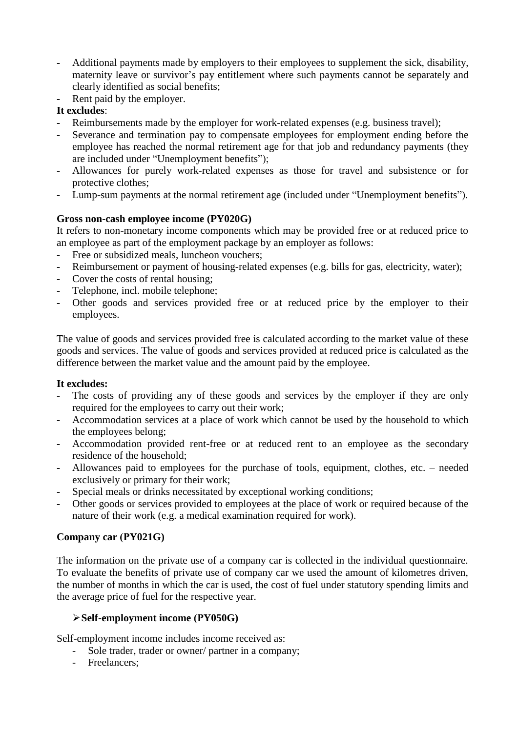- **-** Additional payments made by employers to their employees to supplement the sick, disability, maternity leave or survivor's pay entitlement where such payments cannot be separately and clearly identified as social benefits;
- **-** Rent paid by the employer.

# **It excludes**:

- **-** Reimbursements made by the employer for work-related expenses (e.g. business travel);
- **-** Severance and termination pay to compensate employees for employment ending before the employee has reached the normal retirement age for that job and redundancy payments (they are included under "Unemployment benefits");
- **-** Allowances for purely work-related expenses as those for travel and subsistence or for protective clothes;
- **-** Lump-sum payments at the normal retirement age (included under "Unemployment benefits").

# **Gross non-cash employee income (PY020G)**

It refers to non-monetary income components which may be provided free or at reduced price to an employee as part of the employment package by an employer as follows:

- **-** Free or subsidized meals, luncheon vouchers;
- **-** Reimbursement or payment of housing-related expenses (e.g. bills for gas, electricity, water);
- **-** Cover the costs of rental housing;
- **-** Telephone, incl. mobile telephone;
- **-** Other goods and services provided free or at reduced price by the employer to their employees.

The value of goods and services provided free is calculated according to the market value of these goods and services. The value of goods and services provided at reduced price is calculated as the difference between the market value and the amount paid by the employee.

# **It excludes:**

- **-** The costs of providing any of these goods and services by the employer if they are only required for the employees to carry out their work;
- **-** Accommodation services at a place of work which cannot be used by the household to which the employees belong;
- **-** Accommodation provided rent-free or at reduced rent to an employee as the secondary residence of the household;
- **-** Allowances paid to employees for the purchase of tools, equipment, clothes, etc. needed exclusively or primary for their work;
- **-** Special meals or drinks necessitated by exceptional working conditions;
- **-** Other goods or services provided to employees at the place of work or required because of the nature of their work (e.g. a medical examination required for work).

# **Company car (РY021G)**

The information on the private use of a company car is collected in the individual questionnaire. To evaluate the benefits of private use of company car we used the amount of kilometres driven, the number of months in which the car is used, the cost of fuel under statutory spending limits and the average price of fuel for the respective year.

# **Self-employment income (РY050G)**

Self-employment income includes income received as:

- Sole trader, trader or owner/ partner in a company;
- Freelancers;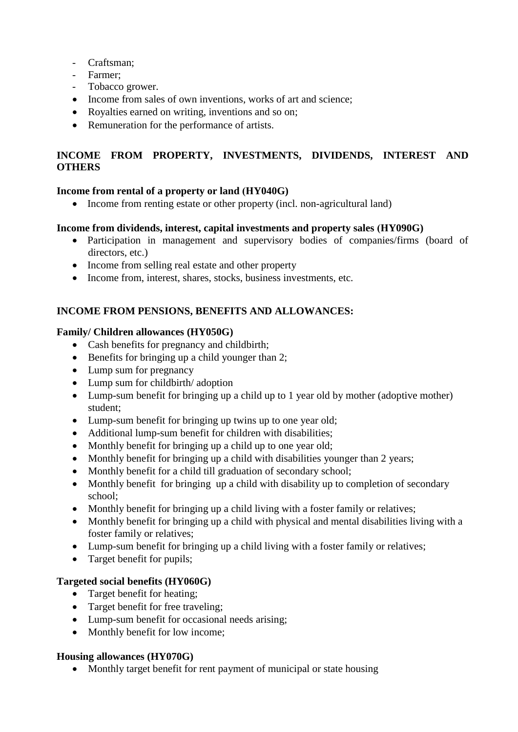- Craftsman;
- Farmer;
- Tobacco grower.
- Income from sales of own inventions, works of art and science;
- Royalties earned on writing, inventions and so on:
- Remuneration for the performance of artists.

# **INCOME FROM PROPERTY, INVESTMENTS, DIVIDENDS, INTEREST AND OTHERS**

# **Income from rental of a property or land (НY040G)**

Income from renting estate or other property (incl. non-agricultural land)

# **Income from dividends, interest, capital investments and property sales (НY090G)**

- Participation in management and supervisory bodies of companies/firms (board of directors, etc.)
- Income from selling real estate and other property
- Income from, interest, shares, stocks, business investments, etc.

# **INCOME FROM PENSIONS, BENEFITS AND ALLOWANCES:**

# **Family/ Children allowances (HY050G)**

- Cash benefits for pregnancy and childbirth;
- $\bullet$  Benefits for bringing up a child younger than 2;
- Lump sum for pregnancy
- Lump sum for childbirth/adoption
- Lump-sum benefit for bringing up a child up to 1 year old by mother (adoptive mother) student;
- Lump-sum benefit for bringing up twins up to one year old;
- Additional lump-sum benefit for children with disabilities;
- Monthly benefit for bringing up a child up to one year old;
- Monthly benefit for bringing up a child with disabilities younger than 2 years;
- Monthly benefit for a child till graduation of secondary school;
- Monthly benefit for bringing up a child with disability up to completion of secondary school;
- Monthly benefit for bringing up a child living with a foster family or relatives;
- Monthly benefit for bringing up a child with physical and mental disabilities living with a foster family or relatives;
- Lump-sum benefit for bringing up a child living with a foster family or relatives;
- Target benefit for pupils;

# **Targeted social benefits (HY060G)**

- Target benefit for heating;
- Target benefit for free traveling:
- Lump-sum benefit for occasional needs arising;
- Monthly benefit for low income;

# **Housing allowances (HY070G)**

• Monthly target benefit for rent payment of municipal or state housing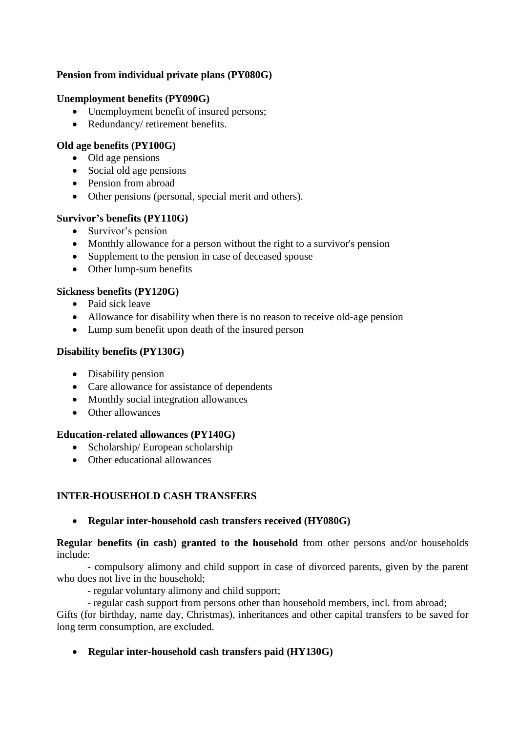# **Pension from individual private plans (PY080G)**

### **Unemployment benefits (PY090G)**

- Unemployment benefit of insured persons:
- Redundancy/ retirement benefits.

### **Old age benefits (PY100G)**

- Old age pensions
- Social old age pensions
- Pension from abroad
- Other pensions (personal, special merit and others).

### **Survivor's benefits (PY110G)**

- Survivor's pension
- Monthly allowance for a person without the right to a survivor's pension
- Supplement to the pension in case of deceased spouse
- Other lump-sum benefits

### **Sickness benefits (PY120G)**

- Paid sick leave
- Allowance for disability when there is no reason to receive old-age pension
- Lump sum benefit upon death of the insured person

### **Disability benefits (PY130G)**

- Disability pension
- Care allowance for assistance of dependents
- Monthly social integration allowances
- Other allowances

### **Education-related allowances (PY140G)**

- Scholarship/ European scholarship
- Other educational allowances

# **INTER-HOUSEHOLD CASH TRANSFERS**

# **Regular inter-household cash transfers received (HY080G)**

**Regular benefits (in cash) granted to the household** from other persons and/or households include:

- compulsory alimony and child support in case of divorced parents, given by the parent who does not live in the household;

- regular voluntary alimony and child support;
- regular cash support from persons other than household members, incl. from abroad;

Gifts (for birthday, name day, Christmas), inheritances and other capital transfers to be saved for long term consumption, are excluded.

**Regular inter-household cash transfers paid (HY130G)**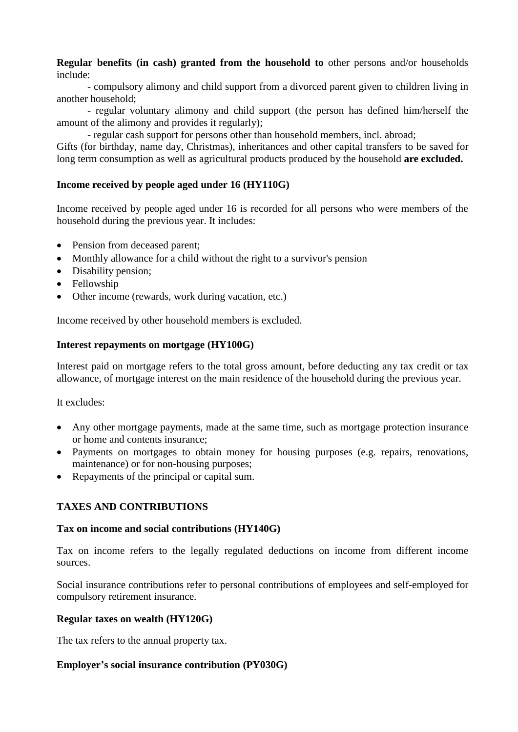**Regular benefits (in cash) granted from the household to** other persons and/or households include:

- compulsory alimony and child support from a divorced parent given to children living in another household;

- regular voluntary alimony and child support (the person has defined him/herself the amount of the alimony and provides it regularly);

- regular cash support for persons other than household members, incl. abroad;

Gifts (for birthday, name day, Christmas), inheritances and other capital transfers to be saved for long term consumption as well as agricultural products produced by the household **are excluded.** 

### **Income received by people aged under 16 (HY110G)**

Income received by people aged under 16 is recorded for all persons who were members of the household during the previous year. It includes:

- Pension from deceased parent;
- Monthly allowance for a child without the right to a survivor's pension
- Disability pension;
- Fellowship
- Other income (rewards, work during vacation, etc.)

Income received by other household members is excluded.

### **Interest repayments on mortgage (HY100G)**

Interest paid on mortgage refers to the total gross amount, before deducting any tax credit or tax allowance, of mortgage interest on the main residence of the household during the previous year.

It excludes:

- Any other mortgage payments, made at the same time, such as mortgage protection insurance or home and contents insurance;
- Payments on mortgages to obtain money for housing purposes (e.g. repairs, renovations, maintenance) or for non-housing purposes;
- Repayments of the principal or capital sum.

# **TAXES AND CONTRIBUTIONS**

### **Tax on income and social contributions (HY140G)**

Tax on income refers to the legally regulated deductions on income from different income sources.

Social insurance contributions refer to personal contributions of employees and self-employed for compulsory retirement insurance.

### **Regular taxes on wealth (HY120G)**

The tax refers to the annual property tax.

### **Employer's social insurance contribution (PY030G)**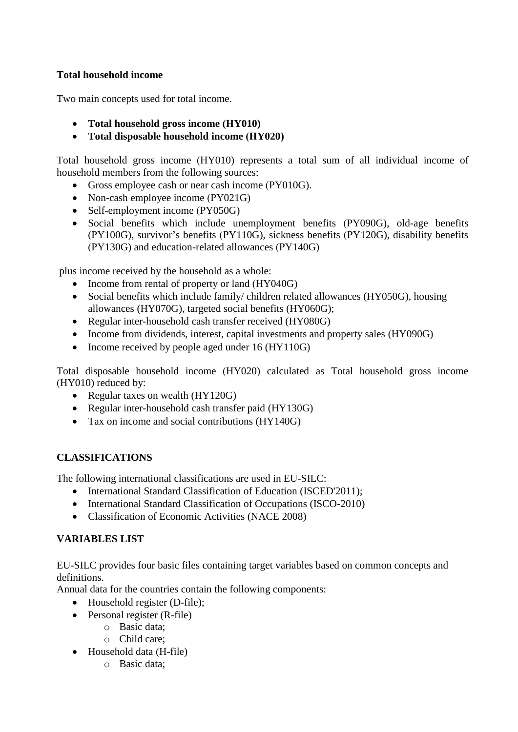# **Total household income**

Two main concepts used for total income.

- **Total household gross income (НY010)**
- **Total disposable household income (НY020)**

Total household gross income (НY010) represents a total sum of all individual income of household members from the following sources:

- Gross employee cash or near cash income (PY010G).
- Non-cash employee income (PY021G)
- Self-employment income (PY050G)
- Social benefits which include unemployment benefits (РY090G), old-age benefits (РY100G), survivor's benefits (РY110G), sickness benefits (РY120G), disability benefits (РY130G) and education-related allowances (РY140G)

plus income received by the household as a whole:

- Income from rental of property or land (HY040G)
- Social benefits which include family/ children related allowances (HY050G), housing allowances (HY070G), targeted social benefits (HY060G);
- Regular inter-household cash transfer received (HY080G)
- Income from dividends, interest, capital investments and property sales (HY090G)
- Income received by people aged under 16 (HY110G)

Total disposable household income (НY020) calculated as Total household gross income (НY010) reduced by:

- Regular taxes on wealth (HY120G)
- Regular inter-household cash transfer paid (HY130G)
- Tax on income and social contributions (HY140G)

# **CLASSIFICATIONS**

The following international classifications are used in EU-SILC:

- International Standard Classification of Education (ISCED'2011);
- International Standard Classification of Occupations (ISCO-2010)
- Classification of Economic Activities (NACE 2008)

# **VARIABLES LIST**

EU-SILC provides four basic files containing target variables based on common concepts and definitions.

Annual data for the countries contain the following components:

- Household register (D-file);
- Personal register (R-file)
	- o Basic data;
	- o Child care;
- Household data (H-file)
	- o Basic data;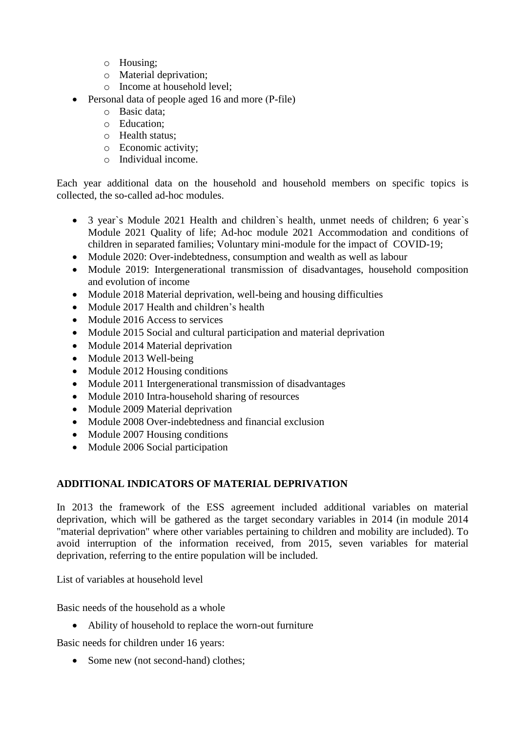- o Housing;
- o Material deprivation;
- o Income at household level;
- **•** Personal data of people aged 16 and more (P-file)
	- o Basic data;
	- o Education;
	- o Health status;
	- o Economic activity;
	- o Individual income.

Each year additional data on the household and household members on specific topics is collected, the so-called ad-hoc modules.

- 3 year`s Module 2021 Health and children`s health, unmet needs of children; 6 year`s Module 2021 Quality of life; Ad-hoc module 2021 Accommodation and conditions of children in separated families; Voluntary mini-module for the impact of COVID-19;
- Module 2020: Over-indebtedness, consumption and wealth as well as labour
- Module 2019: Intergenerational transmission of disadvantages, household composition and evolution of income
- Module 2018 Material deprivation, well-being and housing difficulties
- Module 2017 Health and children's health
- Module 2016 Access to services
- Module 2015 Social and cultural participation and material deprivation
- Module 2014 Material deprivation
- Module 2013 Well-being
- Module 2012 Housing conditions
- Module 2011 Intergenerational transmission of disadvantages
- Module 2010 Intra-household sharing of resources
- Module 2009 Material deprivation
- Module 2008 Over-indebtedness and financial exclusion
- Module 2007 Housing conditions
- Module 2006 Social participation

# **ADDITIONAL INDICATORS OF MATERIAL DEPRIVATION**

In 2013 the framework of the ESS agreement included additional variables on material deprivation, which will be gathered as the target secondary variables in 2014 (in module 2014 "material deprivation" where other variables pertaining to children and mobility are included). To avoid interruption of the information received, from 2015, seven variables for material deprivation, referring to the entire population will be included.

List of variables at household level

Basic needs of the household as a whole

Ability of household to replace the worn-out furniture

Basic needs for children under 16 years:

• Some new (not second-hand) clothes;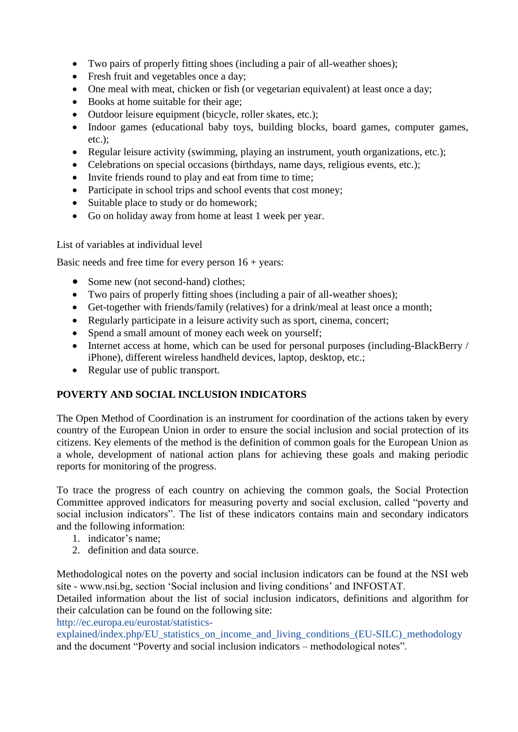- Two pairs of properly fitting shoes (including a pair of all-weather shoes);
- Fresh fruit and vegetables once a day;
- One meal with meat, chicken or fish (or vegetarian equivalent) at least once a day;
- Books at home suitable for their age:
- Outdoor leisure equipment (bicycle, roller skates, etc.);
- Indoor games (educational baby toys, building blocks, board games, computer games, etc.);
- Regular leisure activity (swimming, playing an instrument, youth organizations, etc.);
- Celebrations on special occasions (birthdays, name days, religious events, etc.);
- Invite friends round to play and eat from time to time;
- Participate in school trips and school events that cost money;
- Suitable place to study or do homework;
- Go on holiday away from home at least 1 week per year.

List of variables at individual level

Basic needs and free time for every person  $16 + \text{years}$ :

- Some new (not second-hand) clothes;
- Two pairs of properly fitting shoes (including a pair of all-weather shoes);
- Get-together with friends/family (relatives) for a drink/meal at least once a month;
- Regularly participate in a leisure activity such as sport, cinema, concert;
- Spend a small amount of money each week on yourself;
- Internet access at home, which can be used for personal purposes (including-BlackBerry / iPhone), different wireless handheld devices, laptop, desktop, etc.;
- Regular use of public transport.

# **POVERTY AND SOCIAL INCLUSION INDICATORS**

The Open Method of Coordination is an instrument for coordination of the actions taken by every country of the European Union in order to ensure the social inclusion and social protection of its citizens. Key elements of the method is the definition of common goals for the European Union as a whole, development of national action plans for achieving these goals and making periodic reports for monitoring of the progress.

To trace the progress of each country on achieving the common goals, the Social Protection Committee approved indicators for measuring poverty and social exclusion, called "poverty and social inclusion indicators". The list of these indicators contains main and secondary indicators and the following information:

- 1. indicator's name;
- 2. definition and data source.

Methodological notes on the poverty and social inclusion indicators can be found at the NSI web site - www.nsi.bg, section 'Social inclusion and living conditions' and INFOSTAT.

Detailed information about the list of social inclusion indicators, definitions and algorithm for their calculation can be found on the following site:

[http://ec.europa.eu/eurostat/statistics-](http://ec.europa.eu/eurostat/statistics-explained/index.php/EU_statistics_on_income_and_living_conditions_(EU-SILC)_methodology)

[explained/index.php/EU\\_statistics\\_on\\_income\\_and\\_living\\_conditions\\_\(EU-SILC\)\\_methodology](http://ec.europa.eu/eurostat/statistics-explained/index.php/EU_statistics_on_income_and_living_conditions_(EU-SILC)_methodology) and the document "Poverty and social inclusion indicators – methodological notes".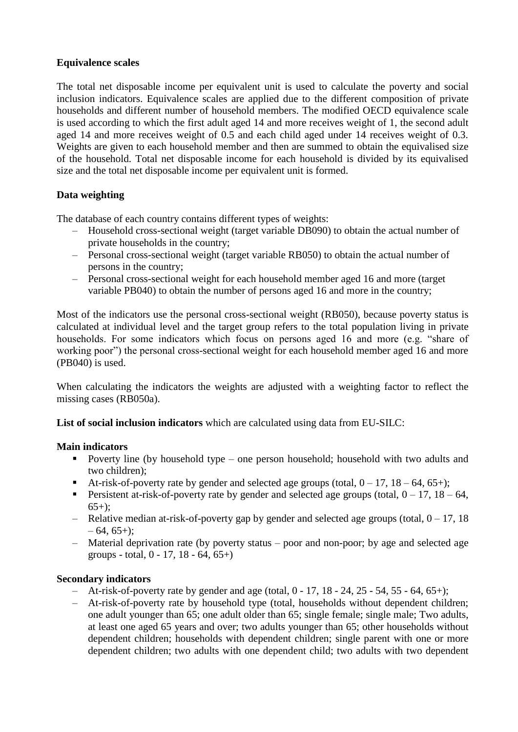# **Equivalence scales**

The total net disposable income per equivalent unit is used to calculate the poverty and social inclusion indicators. Equivalence scales are applied due to the different composition of private households and different number of household members. The modified OECD equivalence scale is used according to which the first adult aged 14 and more receives weight of 1, the second adult aged 14 and more receives weight of 0.5 and each child aged under 14 receives weight of 0.3. Weights are given to each household member and then are summed to obtain the equivalised size of the household. Total net disposable income for each household is divided by its equivalised size and the total net disposable income per equivalent unit is formed.

# **Data weighting**

The database of each country contains different types of weights:

- Household cross-sectional weight (target variable DB090) to obtain the actual number of private households in the country;
- Personal cross-sectional weight (target variable RB050) to obtain the actual number of persons in the country;
- Personal cross-sectional weight for each household member aged 16 and more (target variable PB040) to obtain the number of persons aged 16 and more in the country;

Most of the indicators use the personal cross-sectional weight (RB050), because poverty status is calculated at individual level and the target group refers to the total population living in private households. For some indicators which focus on persons aged 16 and more (e.g. "share of working poor") the personal cross-sectional weight for each household member aged 16 and more (PB040) is used.

When calculating the indicators the weights are adjusted with a weighting factor to reflect the missing cases (RB050a).

**List of social inclusion indicators** which are calculated using data from EU-SILC:

# **Main indicators**

- Poverty line (by household type one person household; household with two adults and two children);
- At-risk-of-poverty rate by gender and selected age groups (total,  $0 17$ ,  $18 64$ ,  $65+$ );
- **Persistent at-risk-of-poverty rate by gender and selected age groups (total,**  $0 17$ **,**  $18 64$ **,**  $65+$ :
- Relative median at-risk-of-poverty gap by gender and selected age groups (total,  $0 17$ , 18  $-64, 65+$ :
- Material deprivation rate (by poverty status poor and non-poor; by age and selected age groups - total,  $0 - 17$ ,  $18 - 64$ ,  $65+$ )

# **Secondary indicators**

- $-$  At-risk-of-poverty rate by gender and age (total,  $0 17$ ,  $18 24$ ,  $25 54$ ,  $55 64$ ,  $65+)$ ;
- At-risk-of-poverty rate by household type (total, households without dependent children; one adult younger than 65; one adult older than 65; single female; single male; Two adults, at least one aged 65 years and over; two adults younger than 65; other households without dependent children; households with dependent children; single parent with one or more dependent children; two adults with one dependent child; two adults with two dependent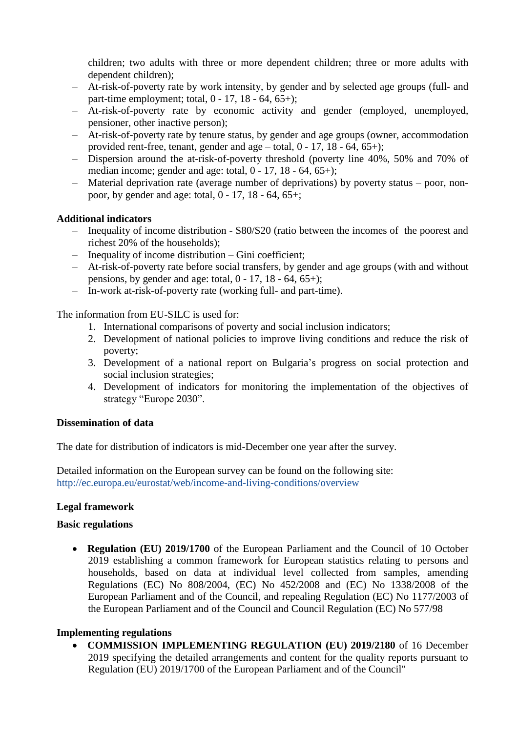children; two adults with three or more dependent children; three or more adults with dependent children);

- At-risk-of-poverty rate by work intensity, by gender and by selected age groups (full- and part-time employment; total,  $0 - 17$ ,  $18 - 64$ ,  $65+$ );
- At-risk-of-poverty rate by economic activity and gender (employed, unemployed, pensioner, other inactive person);
- At-risk-of-poverty rate by tenure status, by gender and age groups (owner, accommodation provided rent-free, tenant, gender and age – total,  $0 - 17$ ,  $18 - 64$ ,  $65 +$ );
- Dispersion around the at-risk-of-poverty threshold (poverty line 40%, 50% and 70% of median income; gender and age: total,  $0 - 17$ ,  $18 - 64$ ,  $65 +$ );
- Material deprivation rate (average number of deprivations) by poverty status poor, nonpoor, by gender and age: total, 0 - 17, 18 - 64, 65+;

### **Additional indicators**

- Inequality of income distribution S80/S20 (ratio between the incomes of the poorest and richest 20% of the households);
- Inequality of income distribution Gini coefficient;
- At-risk-of-poverty rate before social transfers, by gender and age groups (with and without pensions, by gender and age: total,  $0 - 17$ ,  $18 - 64$ ,  $65 +$ );
- In-work at-risk-of-poverty rate (working full- and part-time).

The information from EU-SILC is used for:

- 1. International comparisons of poverty and social inclusion indicators;
- 2. Development of national policies to improve living conditions and reduce the risk of poverty;
- 3. Development of a national report on Bulgaria's progress on social protection and social inclusion strategies;
- 4. Development of indicators for monitoring the implementation of the objectives of strategy "Europe 2030".

### **Dissemination of data**

The date for distribution of indicators is mid-December one year after the survey.

Detailed information on the European survey can be found on the following site: <http://ec.europa.eu/eurostat/web/income-and-living-conditions/overview>

# **Legal framework**

### **Basic regulations**

 **Regulation (EU) 2019/1700** of the European Parliament and the Council of 10 October 2019 establishing a common framework for European statistics relating to persons and households, based on data at individual level collected from samples, amending Regulations (EC) No 808/2004, (EC) No 452/2008 and (EC) No 1338/2008 of the European Parliament and of the Council, and repealing Regulation (EC) No 1177/2003 of the European Parliament and of the Council and Council Regulation (EC) No 577/98

### **Implementing regulations**

 **COMMISSION IMPLEMENTING REGULATION (EU) 2019/2180** of 16 December 2019 specifying the detailed arrangements and content for the quality reports pursuant to Regulation (EU) 2019/1700 of the European Parliament and of the Council"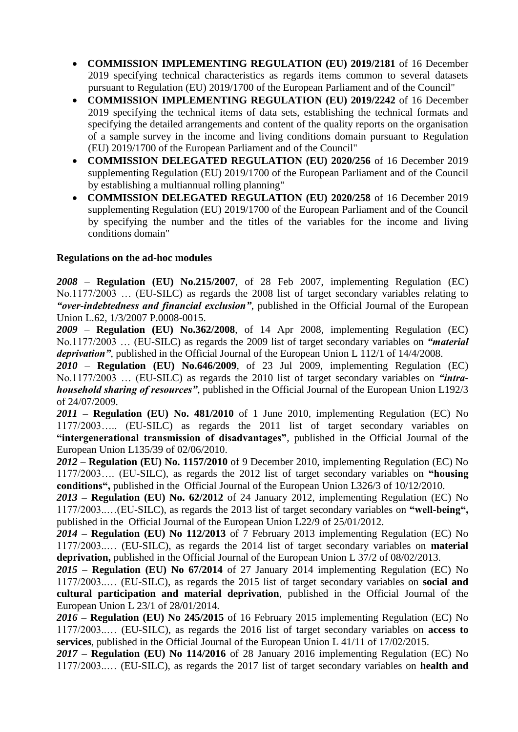- **COMMISSION IMPLEMENTING REGULATION (EU) 2019/2181** of 16 December 2019 specifying technical characteristics as regards items common to several datasets pursuant to Regulation (EU) 2019/1700 of the European Parliament and of the Council"
- **COMMISSION IMPLEMENTING REGULATION (EU) 2019/2242** of 16 December 2019 specifying the technical items of data sets, establishing the technical formats and specifying the detailed arrangements and content of the quality reports on the organisation of a sample survey in the income and living conditions domain pursuant to Regulation (EU) 2019/1700 of the European Parliament and of the Council"
- **COMMISSION DELEGATED REGULATION (EU) 2020/256** of 16 December 2019 supplementing Regulation (EU) 2019/1700 of the European Parliament and of the Council by establishing a multiannual rolling planning"
- **COMMISSION DELEGATED REGULATION (EU) 2020/258** of 16 December 2019 supplementing Regulation (EU) 2019/1700 of the European Parliament and of the Council by specifying the number and the titles of the variables for the income and living conditions domain"

# **Regulations on the ad-hoc modules**

*2008* – **Regulation (EU) No.215/2007**, of 28 Feb 2007, implementing Regulation (EC) No.1177/2003 … (EU-SILC) as regards the 2008 list of target secondary variables relating to *"over-indebtedness and financial exclusion"*, published in the Official Journal of the European Union L.62, 1/3/2007 P.0008-0015.

*2009* – **Regulation (EU) No.362/2008**, of 14 Apr 2008, implementing Regulation (EC) No.1177/2003 … (EU-SILC) as regards the 2009 list of target secondary variables on *"material deprivation"*, published in the Official Journal of the European Union L 112/1 of 14/4/2008.

*2010* – **Regulation (EU) No.646/2009**, of 23 Jul 2009, implementing Regulation (EC) No.1177/2003 … (EU-SILC) as regards the 2010 list of target secondary variables on *"intrahousehold sharing of resources"*, published in the Official Journal of the European Union L192/3 of 24/07/2009.

*2011* **– Regulation (EU) No. 481/2010** of 1 June 2010, implementing Regulation (EC) No 1177/2003….. (EU-SILC) as regards the 2011 list of target secondary variables on **"intergenerational transmission of disadvantages"**, published in the Official Journal of the European Union L135/39 of 02/06/2010.

*2012* **– Regulation (EU) No. 1157/2010** of 9 December 2010, implementing Regulation (EC) No 1177/2003…. (EU-SILC), as regards the 2012 list of target secondary variables on **"housing conditions",** published in the Official Journal of the European Union L326/3 of 10/12/2010.

*2013* **– Regulation (EU) No. 62/2012** of 24 January 2012, implementing Regulation (EC) No 1177/2003..…(EU-SILC), as regards the 2013 list of target secondary variables on **"well-being",**  published in the Official Journal of the European Union L22/9 of 25/01/2012.

*2014 –* **Regulation (EU) No 112/2013** of 7 February 2013 implementing Regulation (EC) No 1177/2003..… (EU-SILC), as regards the 2014 list of target secondary variables on **material deprivation,** published in the Official Journal of the European Union L 37/2 of 08/02/2013.

*2015 –* **Regulation (EU) No 67/2014** of 27 January 2014 implementing Regulation (EC) No 1177/2003..… (EU-SILC), as regards the 2015 list of target secondary variables on **social and cultural participation and material deprivation**, published in the Official Journal of the European Union L 23/1 of 28/01/2014.

*2016 –* **Regulation (EU) No 245/2015** of 16 February 2015 implementing Regulation (EC) No 1177/2003..… (EU-SILC), as regards the 2016 list of target secondary variables on **access to services**, published in the Official Journal of the European Union L 41/11 of 17/02/2015.

*2017 –* **Regulation (EU) No 114/2016** of 28 January 2016 implementing Regulation (EC) No 1177/2003..… (EU-SILC), as regards the 2017 list of target secondary variables on **health and**